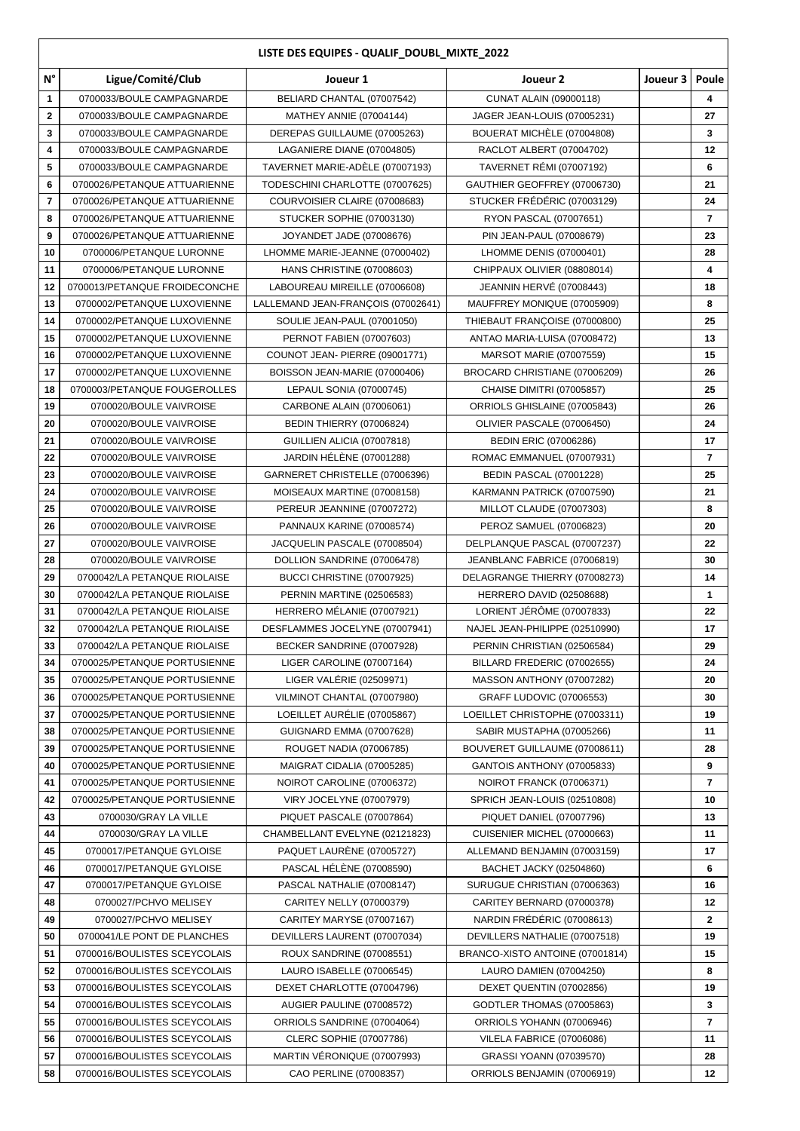| LISTE DES EQUIPES - QUALIF_DOUBL_MIXTE_2022 |                               |                                    |                                 |                  |                |  |  |  |  |
|---------------------------------------------|-------------------------------|------------------------------------|---------------------------------|------------------|----------------|--|--|--|--|
| $\mathsf{N}^\circ$                          | Ligue/Comité/Club             | Joueur 1                           | Joueur <sub>2</sub>             | Joueur 3   Poule |                |  |  |  |  |
| 1                                           | 0700033/BOULE CAMPAGNARDE     | BELIARD CHANTAL (07007542)         | <b>CUNAT ALAIN (09000118)</b>   |                  | 4              |  |  |  |  |
| $\mathbf{2}$                                | 0700033/BOULE CAMPAGNARDE     | MATHEY ANNIE (07004144)            | JAGER JEAN-LOUIS (07005231)     |                  | 27             |  |  |  |  |
| 3                                           | 0700033/BOULE CAMPAGNARDE     | DEREPAS GUILLAUME (07005263)       | BOUERAT MICHÈLE (07004808)      |                  | 3              |  |  |  |  |
| 4                                           | 0700033/BOULE CAMPAGNARDE     | LAGANIERE DIANE (07004805)         | RACLOT ALBERT (07004702)        |                  | 12             |  |  |  |  |
| 5                                           | 0700033/BOULE CAMPAGNARDE     | TAVERNET MARIE-ADELE (07007193)    | <b>TAVERNET RÉMI (07007192)</b> |                  | 6              |  |  |  |  |
| 6                                           | 0700026/PETANQUE ATTUARIENNE  | TODESCHINI CHARLOTTE (07007625)    | GAUTHIER GEOFFREY (07006730)    |                  | 21             |  |  |  |  |
| 7                                           | 0700026/PETANQUE ATTUARIENNE  | COURVOISIER CLAIRE (07008683)      | STUCKER FRÉDÉRIC (07003129)     |                  | 24             |  |  |  |  |
| 8                                           | 0700026/PETANQUE ATTUARIENNE  | STUCKER SOPHIE (07003130)          | RYON PASCAL (07007651)          |                  | 7              |  |  |  |  |
| 9                                           | 0700026/PETANQUE ATTUARIENNE  | JOYANDET JADE (07008676)           | PIN JEAN-PAUL (07008679)        |                  | 23             |  |  |  |  |
| 10                                          | 0700006/PETANQUE LURONNE      | LHOMME MARIE-JEANNE (07000402)     | LHOMME DENIS (07000401)         |                  | 28             |  |  |  |  |
| 11                                          | 0700006/PETANQUE LURONNE      | HANS CHRISTINE (07008603)          | CHIPPAUX OLIVIER (08808014)     |                  | 4              |  |  |  |  |
| 12                                          | 0700013/PETANQUE FROIDECONCHE | LABOUREAU MIREILLE (07006608)      | JEANNIN HERVÉ (07008443)        |                  | 18             |  |  |  |  |
| 13                                          | 0700002/PETANQUE LUXOVIENNE   | LALLEMAND JEAN-FRANÇOIS (07002641) | MAUFFREY MONIQUE (07005909)     |                  | 8              |  |  |  |  |
| 14                                          | 0700002/PETANQUE LUXOVIENNE   | SOULIE JEAN-PAUL (07001050)        | THIEBAUT FRANÇOISE (07000800)   |                  | 25             |  |  |  |  |
| 15                                          | 0700002/PETANQUE LUXOVIENNE   | PERNOT FABIEN (07007603)           | ANTAO MARIA-LUISA (07008472)    |                  | 13             |  |  |  |  |
| 16                                          | 0700002/PETANQUE LUXOVIENNE   | COUNOT JEAN- PIERRE (09001771)     | <b>MARSOT MARIE (07007559)</b>  |                  | 15             |  |  |  |  |
| 17                                          | 0700002/PETANQUE LUXOVIENNE   | BOISSON JEAN-MARIE (07000406)      | BROCARD CHRISTIANE (07006209)   |                  | 26             |  |  |  |  |
| 18                                          | 0700003/PETANQUE FOUGEROLLES  | LEPAUL SONIA (07000745)            | CHAISE DIMITRI (07005857)       |                  | 25             |  |  |  |  |
| 19                                          | 0700020/BOULE VAIVROISE       | CARBONE ALAIN (07006061)           | ORRIOLS GHISLAINE (07005843)    |                  | 26             |  |  |  |  |
| 20                                          | 0700020/BOULE VAIVROISE       | <b>BEDIN THIERRY (07006824)</b>    | OLIVIER PASCALE (07006450)      |                  | 24             |  |  |  |  |
| 21                                          | 0700020/BOULE VAIVROISE       | GUILLIEN ALICIA (07007818)         | <b>BEDIN ERIC (07006286)</b>    |                  | 17             |  |  |  |  |
| 22                                          | 0700020/BOULE VAIVROISE       | JARDIN HELENE (07001288)           | ROMAC EMMANUEL (07007931)       |                  | $\overline{7}$ |  |  |  |  |
| 23                                          | 0700020/BOULE VAIVROISE       | GARNERET CHRISTELLE (07006396)     | <b>BEDIN PASCAL (07001228)</b>  |                  | 25             |  |  |  |  |
| 24                                          | 0700020/BOULE VAIVROISE       | MOISEAUX MARTINE (07008158)        | KARMANN PATRICK (07007590)      |                  | 21             |  |  |  |  |
| 25                                          | 0700020/BOULE VAIVROISE       | PEREUR JEANNINE (07007272)         | MILLOT CLAUDE (07007303)        |                  | 8              |  |  |  |  |
| 26                                          | 0700020/BOULE VAIVROISE       | PANNAUX KARINE (07008574)          | PEROZ SAMUEL (07006823)         |                  | 20             |  |  |  |  |
| 27                                          | 0700020/BOULE VAIVROISE       | JACQUELIN PASCALE (07008504)       | DELPLANQUE PASCAL (07007237)    |                  | 22             |  |  |  |  |
| 28                                          | 0700020/BOULE VAIVROISE       | DOLLION SANDRINE (07006478)        | JEANBLANC FABRICE (07006819)    |                  | 30             |  |  |  |  |
| 29                                          | 0700042/LA PETANQUE RIOLAISE  | BUCCI CHRISTINE (07007925)         | DELAGRANGE THIERRY (07008273)   |                  | 14             |  |  |  |  |
| 30                                          | 0700042/LA PETANQUE RIOLAISE  | PERNIN MARTINE (02506583)          | HERRERO DAVID (02508688)        |                  | 1              |  |  |  |  |
| 31                                          | 0700042/LA PETANQUE RIOLAISE  | HERRERO MÉLANIE (07007921)         | LORIENT JÉRÔME (07007833)       |                  | 22             |  |  |  |  |
| 32                                          | 0700042/LA PETANQUE RIOLAISE  | DESFLAMMES JOCELYNE (07007941)     | NAJEL JEAN-PHILIPPE (02510990)  |                  | 17             |  |  |  |  |
| 33                                          | 0700042/LA PETANQUE RIOLAISE  | BECKER SANDRINE (07007928)         | PERNIN CHRISTIAN (02506584)     |                  | 29             |  |  |  |  |
| 34                                          | 0700025/PETANQUE PORTUSIENNE  | LIGER CAROLINE (07007164)          | BILLARD FREDERIC (07002655)     |                  | 24             |  |  |  |  |
| 35                                          | 0700025/PETANQUE PORTUSIENNE  | LIGER VALÉRIE (02509971)           | MASSON ANTHONY (07007282)       |                  | 20             |  |  |  |  |
| 36                                          | 0700025/PETANQUE PORTUSIENNE  | VILMINOT CHANTAL (07007980)        | GRAFF LUDOVIC (07006553)        |                  | 30             |  |  |  |  |
| 37                                          | 0700025/PETANQUE PORTUSIENNE  | LOEILLET AURÉLIE (07005867)        | LOEILLET CHRISTOPHE (07003311)  |                  | 19             |  |  |  |  |
| 38                                          | 0700025/PETANQUE PORTUSIENNE  | GUIGNARD EMMA (07007628)           | SABIR MUSTAPHA (07005266)       |                  | 11             |  |  |  |  |
| 39                                          | 0700025/PETANQUE PORTUSIENNE  | ROUGET NADIA (07006785)            | BOUVERET GUILLAUME (07008611)   |                  | 28             |  |  |  |  |
| 40                                          | 0700025/PETANQUE PORTUSIENNE  | MAIGRAT CIDALIA (07005285)         | GANTOIS ANTHONY (07005833)      |                  | 9              |  |  |  |  |
| 41                                          | 0700025/PETANQUE PORTUSIENNE  | NOIROT CAROLINE (07006372)         | NOIROT FRANCK (07006371)        |                  | 7              |  |  |  |  |
| 42                                          | 0700025/PETANQUE PORTUSIENNE  | VIRY JOCELYNE (07007979)           | SPRICH JEAN-LOUIS (02510808)    |                  | 10             |  |  |  |  |
| 43                                          | 0700030/GRAY LA VILLE         | PIQUET PASCALE (07007864)          | PIQUET DANIEL (07007796)        |                  | 13             |  |  |  |  |
| 44                                          | 0700030/GRAY LA VILLE         | CHAMBELLANT EVELYNE (02121823)     | CUISENIER MICHEL (07000663)     |                  | 11             |  |  |  |  |
| 45                                          | 0700017/PETANQUE GYLOISE      | PAQUET LAURÈNE (07005727)          | ALLEMAND BENJAMIN (07003159)    |                  | 17             |  |  |  |  |
| 46                                          | 0700017/PETANQUE GYLOISE      | PASCAL HÉLÉNE (07008590)           | BACHET JACKY (02504860)         |                  | 6              |  |  |  |  |
| 47                                          | 0700017/PETANQUE GYLOISE      | PASCAL NATHALIE (07008147)         | SURUGUE CHRISTIAN (07006363)    |                  | 16             |  |  |  |  |
| 48                                          | 0700027/PCHVO MELISEY         | CARITEY NELLY (07000379)           | CARITEY BERNARD (07000378)      |                  | 12             |  |  |  |  |
| 49                                          | 0700027/PCHVO MELISEY         | CARITEY MARYSE (07007167)          | NARDIN FREDERIC (07008613)      |                  | 2              |  |  |  |  |
| 50                                          | 0700041/LE PONT DE PLANCHES   | DEVILLERS LAURENT (07007034)       | DEVILLERS NATHALIE (07007518)   |                  | 19             |  |  |  |  |
| 51                                          | 0700016/BOULISTES SCEYCOLAIS  | ROUX SANDRINE (07008551)           | BRANCO-XISTO ANTOINE (07001814) |                  | 15             |  |  |  |  |
| 52                                          | 0700016/BOULISTES SCEYCOLAIS  | LAURO ISABELLE (07006545)          | LAURO DAMIEN (07004250)         |                  | 8              |  |  |  |  |
| 53                                          | 0700016/BOULISTES SCEYCOLAIS  | DEXET CHARLOTTE (07004796)         | DEXET QUENTIN (07002856)        |                  | 19             |  |  |  |  |
| 54                                          | 0700016/BOULISTES SCEYCOLAIS  | AUGIER PAULINE (07008572)          | GODTLER THOMAS (07005863)       |                  | 3              |  |  |  |  |
| 55                                          | 0700016/BOULISTES SCEYCOLAIS  | ORRIOLS SANDRINE (07004064)        | ORRIOLS YOHANN (07006946)       |                  | 7              |  |  |  |  |
| 56                                          | 0700016/BOULISTES SCEYCOLAIS  | CLERC SOPHIE (07007786)            | VILELA FABRICE (07006086)       |                  | 11             |  |  |  |  |
| 57                                          | 0700016/BOULISTES SCEYCOLAIS  | MARTIN VERONIQUE (07007993)        | GRASSI YOANN (07039570)         |                  | 28             |  |  |  |  |
| 58                                          | 0700016/BOULISTES SCEYCOLAIS  | CAO PERLINE (07008357)             | ORRIOLS BENJAMIN (07006919)     |                  | 12             |  |  |  |  |